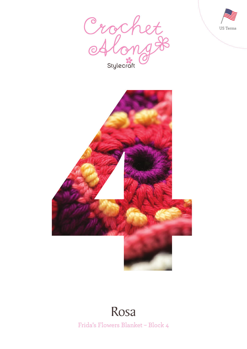





## Frida's Flowers Blanket – Block 4 Rosa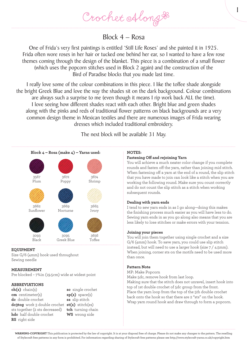Crochet Along &

Block 4 – Rosa

One of Frida's very first paintings is entitled 'Still Life Roses' and she painted it in 1925. Frida often wore roses in her hair or tucked one behind her ear, so I wanted to have a few rose themes coming through the design of the blanket. This piece is a combination of a small flower (which uses the popcorn stitches used in Block 2 again) and the construction of the Bird of Paradise blocks that you made last time.

I really love some of the colour combinations in this piece. I like the toffee shade alongside the bright Greek Blue and love the way the shades sit on the dark background. Colour combinations are always such a surprise to me (even though it means I rip work back ALL the time). I love seeing how different shades react with each other. Bright blue and green shades along with the pinks and reds of traditional flower patterns on black backgrounds are a very common design theme in Mexican textiles and there are numerous images of Frida wearing dresses which included traditional embroidery.

The next block will be available 31 May.



### **EQUIPMENT**

Size G/6 (4mm) hook used throughout Sewing needle

#### **MEASUREMENT**

Pre blocked – 7¾in (19.5cm) wide at widest point

#### **ABBREVIATIONS**

**ch(s)** chain(s) **cm** centimeter(s) **dc** double crochet **dc3tog** work 3 double crochet **st(s)** stitch(es) sts together (2 sts decreased) **hdc** half double crochet **RS** right side

**sc** single crochet **sp(s)** space(s) **ss** slip stitch **tch** turning chain **WS** wrong side

#### **NOTES:**

#### **Fastening Off and rejoining Yarn**

You will achieve a much neater color change if you complete rounds and fasten off the yarn, rather than joining mid stitch. When fastening off a yarn at the end of a round, the slip stitch that you have made to join can look like a stitch when you are working the following round. Make sure you count correctly and do not count the slip stitch as a stitch when working subsequent rounds.

1

#### **Dealing with yarn ends**

I tend to sew yarn ends in as I go along—doing this makes the finishing process much easier as you will have less to do. Sewing yarn ends in as you go along also means that you are less likely to lose stitches or make errors with your tension.

#### **Joining your pieces**

You will join them together using single crochet and a size G/6 (4mm) hook. To save yarn, you could use slip stitch instead, but will need to use a larger hook (size 7 / 4.5mm). When joining, corner sts on the motifs need to be used more than once.

#### **Pattern Note**

MP: Make Popcorn

Make 5dc, remove hook from last loop.

Making sure that the stitch does not unravel, insert hook into top of 1st double crochet of 5dc group from the front. Place the yarn loop from the top of the 5th double crochet back onto the hook so that there are 2 "sts" on the hook. Wrap yarn round hook and draw through to form a popcorn.

**WARNING-COPYRIGHT** This publication is protected by the law of copyright. It is at your disposal free of charge. Please do not make any changes to the pattern. The reselling of Stylecraft free patterns in any form is prohibited. For information regarding sharing of Stylecraft free patterns please see http://www.stylecraft-yarns.co.uk/copyright.htm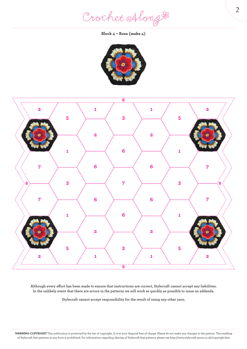Crochet Along #

**Block 4 – Rosa (make 4)**





**Although every effort has been made to ensure that instructions are correct, Stylecraft cannot accept any liabilities. In the unlikely event that there are errors in the patterns we will work as quickly as possible to issue an addenda.**

**Stylecraft cannot accept responsibility for the result of using any other yarn.**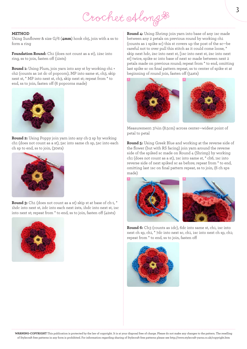# Crochet Along #

#### **METHOD**

Using Sunflower & size G/6 (**4mm**) hook ch5, join with a ss to form a ring

**Foundation Round:** Ch1 (does not count as a st), 12sc into ring, ss to join, fasten off (12sts)

**Round 1:** Using Plum, join yarn into any st by working ch1 + ch2 (counts as 1st dc of popcorn), MP into same st, ch3, skip next st, \* MP into next st, ch3, skip next st; repeat from \* to end, ss to join, fasten off (6 popcorns made)



**Round 2:** Using Poppy join yarn into any ch-3 sp by working ch1 (does not count as a st), 5sc into same ch sp, 5sc into each ch sp to end, ss to join, (30sts)



**Round 3:** Ch1 (does not count as a st) skip st at base of ch-1, \* 1hdc into next st, 2dc into each next 2sts, 1hdc into next st, 1sc into next st; repeat from \* to end, ss to join, fasten off (42sts)



**Round 4:** Using Shrimp join yarn into base of any 1sc made between any 2 petals on previous round by working ch1 (counts as 1 spike sc) this st covers up the post of the sc—be careful not to over pull this stitch as it could come loose, \* skip next hdc, 2sc into next st, [1sc into next st, 2sc into next st] twice, spike sc into base of next sc made between next 2 petals made on previous round; repeat from \* to end, omitting last spike sc on final pattern repeat, ss to center of spike st at beginning of round join, fasten off (54sts)



Measurement: 3¼in (8.5cm) across center—widest point of petal to petal

**Round 5:** Using Greek Blue and working at the reverse side of the flower (but with RS facing) join yarn around the reverse side of the spiked sc made on Round 4 (Shrimp) by working ch1 (does not count as a st), 1sc into same st, \* ch6, 1sc into reverse side of next spiked sc as before; repeat from \* to end, omitting last 1sc on final pattern repeat, ss to join, (6 ch sps made)





**Round 6:** Ch3 (counts as 1dc), 6dc into same st, ch1, 1sc into next ch sp, ch1, \* 7dc into next sc, ch1, 1sc into next ch sp, ch1; repeat from \* to end, ss to join, fasten off



**WARNING-COPYRIGHT** This publication is protected by the law of copyright. It is at your disposal free of charge. Please do not make any changes to the pattern. The reselling of Stylecraft free patterns in any form is prohibited. For information regarding sharing of Stylecraft free patterns please see http://www.stylecraft-yarns.co.uk/copyright.htm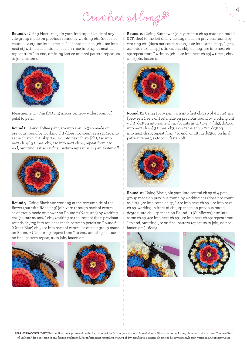Crochet Along #

**Round 7:** Using Nocturne join yarn into top of 1st dc of any 7dc group made on previous round by working ch1 (does not count as a st), 1sc into same st, \* 1sc into next st, [ch1, 1sc into next st] 4 times, 1sc into next st, ch3, 1sc into top of next dc; repeat from \* to end, omitting last sc on final pattern repeat, ss to join, fasten off



Measurement: 4¼in (10.5cm) across center— widest point of petal to petal

**Round 8:** Using Toffee join yarn into any ch-3 sp made on previous round by working ch1 (does not count as a st), 1sc into same ch sp, \* ch2, skip 2sc, 1sc into next ch sp, [ch1, 1sc into next ch sp] 3 times, ch2, 1sc into next ch sp; repeat from \* to end, omitting last sc on final pattern repeat, ss to join, fasten off



**Round 9:** Using Black and working at the reverse side of the flower (but with RS facing) join yarn through back of central sc of group made on flower on Round 7 (Nocturne) by working ch1 (counts as 1sc), \* ch5, working to the front of the 2 previous rounds dc3tog into top of sc made between petals on Round 6 (Greek Blue) ch5, 1sc into back of central sc of next group made on Round 7 (Nocturne); repeat from \* to end, omitting last 1sc on final pattern repeat, ss to join, fasten off





**Round 10:** Using Sunflower, join yarn into ch sp made on round 8 (Toffee) to the left of any dc3tog made on previous round by working ch1 (does not count as a st), 2sc into same ch sp, \* [ch1, 2sc into next ch sp] 4 times, ch2, skip dc3tog, 2sc into next ch sp; repeat from \* 4 times, [ch1, 2sc into next ch sp] 4 times, ch2, ss to join, fasten off



**Round 11:** Using Ivory join yarn into first ch-1 sp of 4 x ch-1 sps (between 2 sets of 2sc) made on previous round by working ch1 + ch2, dc2tog into same ch sp (counts as dc3tog), \* [ch3, dc3tog into next ch sp] 3 times, ch3, skip 2sc & 2ch & 2sc, dc3tog into next ch sp; repeat from \* to end, omitting dc3tog on final pattern repeat, ss to join, fasten off



**Round 12:** Using Black join yarn into central ch sp of 4 petal group made on previous round by working ch1 (does not count as a st), 5sc into same ch sp, \* 4sc into next ch sp, 2sc into next ch sp, working in front of ch-3 sp made on previous round, dc3tog into ch-2 sp made on Round 10 (Sunflower), 2sc into same ch sp, 4sc into next ch sp, 5sc into next ch sp; repeat from \* to end, omitting 5sc on final pattern repeat, ss to join, do not fasten off (108sts)





**WARNING-COPYRIGHT** This publication is protected by the law of copyright. It is at your disposal free of charge. Please do not make any changes to the pattern. The reselling of Stylecraft free patterns in any form is prohibited. For information regarding sharing of Stylecraft free patterns please see http://www.stylecraft-yarns.co.uk/copyright.htm